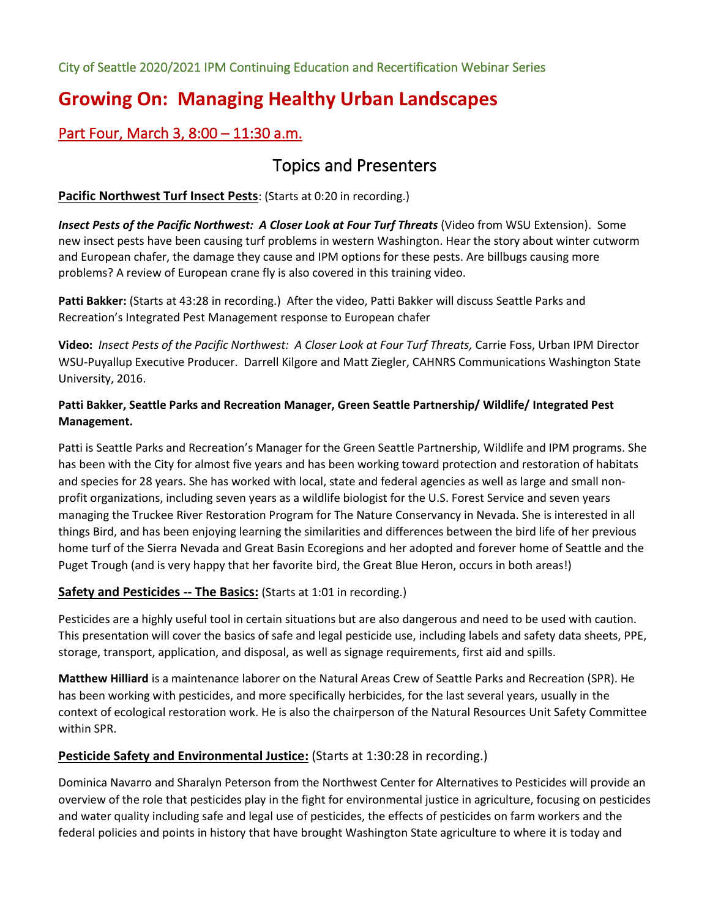City of Seattle 2020/2021 IPM Continuing Education and Recertification Webinar Series

# **Growing On: Managing Healthy Urban Landscapes**

## Part Four, March 3, 8:00 – 11:30 a.m.

## Topics and Presenters

## **Pacific Northwest Turf Insect Pests**: (Starts at 0:20 in recording.)

*Insect Pests of the Pacific Northwest: A Closer Look at Four Turf Threats* (Video from WSU Extension). Some new insect pests have been causing turf problems in western Washington. Hear the story about winter cutworm and European chafer, the damage they cause and IPM options for these pests. Are billbugs causing more problems? A review of European crane fly is also covered in this training video.

**Patti Bakker:** (Starts at 43:28 in recording.) After the video, Patti Bakker will discuss Seattle Parks and Recreation's Integrated Pest Management response to European chafer

**Video:** *Insect Pests of the Pacific Northwest: A Closer Look at Four Turf Threats,* Carrie Foss, Urban IPM Director WSU-Puyallup Executive Producer. Darrell Kilgore and Matt Ziegler, CAHNRS Communications Washington State University, 2016.

## **Patti Bakker, Seattle Parks and Recreation Manager, Green Seattle Partnership/ Wildlife/ Integrated Pest Management.**

Patti is Seattle Parks and Recreation's Manager for the Green Seattle Partnership, Wildlife and IPM programs. She has been with the City for almost five years and has been working toward protection and restoration of habitats and species for 28 years. She has worked with local, state and federal agencies as well as large and small nonprofit organizations, including seven years as a wildlife biologist for the U.S. Forest Service and seven years managing the Truckee River Restoration Program for The Nature Conservancy in Nevada. She is interested in all things Bird, and has been enjoying learning the similarities and differences between the bird life of her previous home turf of the Sierra Nevada and Great Basin Ecoregions and her adopted and forever home of Seattle and the Puget Trough (and is very happy that her favorite bird, the Great Blue Heron, occurs in both areas!)

## **Safety and Pesticides -- The Basics:** (Starts at 1:01 in recording.)

Pesticides are a highly useful tool in certain situations but are also dangerous and need to be used with caution. This presentation will cover the basics of safe and legal pesticide use, including labels and safety data sheets, PPE, storage, transport, application, and disposal, as well as signage requirements, first aid and spills.

**Matthew Hilliard** is a maintenance laborer on the Natural Areas Crew of Seattle Parks and Recreation (SPR). He has been working with pesticides, and more specifically herbicides, for the last several years, usually in the context of ecological restoration work. He is also the chairperson of the Natural Resources Unit Safety Committee within SPR.

## **Pesticide Safety and Environmental Justice:** (Starts at 1:30:28 in recording.)

Dominica Navarro and Sharalyn Peterson from the Northwest Center for Alternatives to Pesticides will provide an overview of the role that pesticides play in the fight for environmental justice in agriculture, focusing on pesticides and water quality including safe and legal use of pesticides, the effects of pesticides on farm workers and the federal policies and points in history that have brought Washington State agriculture to where it is today and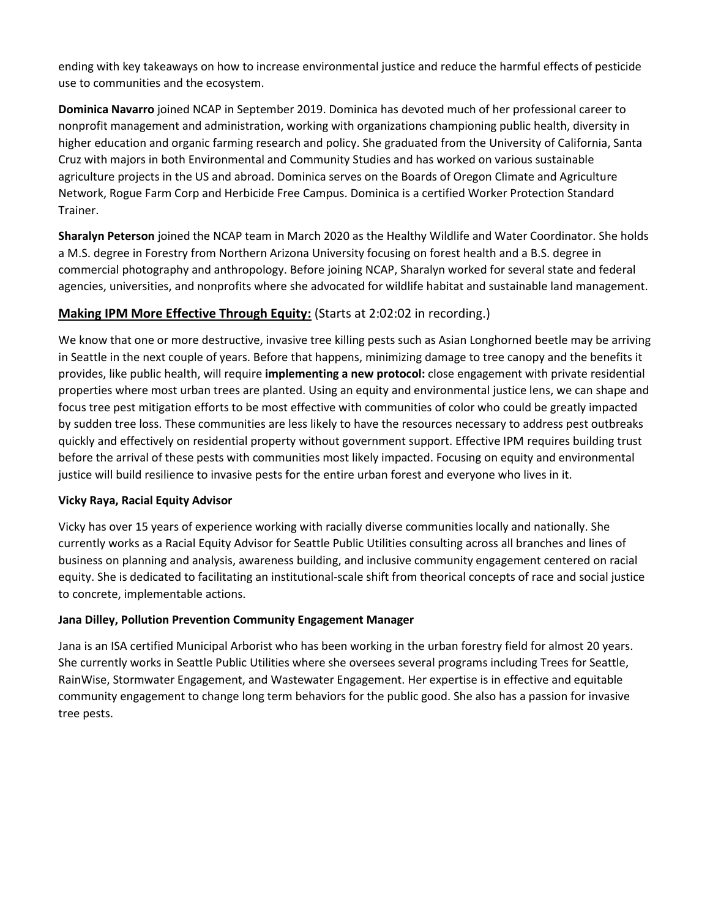ending with key takeaways on how to increase environmental justice and reduce the harmful effects of pesticide use to communities and the ecosystem.

**Dominica Navarro** joined NCAP in September 2019. Dominica has devoted much of her professional career to nonprofit management and administration, working with organizations championing public health, diversity in higher education and organic farming research and policy. She graduated from the University of California, Santa Cruz with majors in both Environmental and Community Studies and has worked on various sustainable agriculture projects in the US and abroad. Dominica serves on the Boards of Oregon Climate and Agriculture Network, Rogue Farm Corp and Herbicide Free Campus. Dominica is a certified Worker Protection Standard Trainer.

**Sharalyn Peterson** joined the NCAP team in March 2020 as the Healthy Wildlife and Water Coordinator. She holds a M.S. degree in Forestry from Northern Arizona University focusing on forest health and a B.S. degree in commercial photography and anthropology. Before joining NCAP, Sharalyn worked for several state and federal agencies, universities, and nonprofits where she advocated for wildlife habitat and sustainable land management.

## **Making IPM More Effective Through Equity:** (Starts at 2:02:02 in recording.)

We know that one or more destructive, invasive tree killing pests such as Asian Longhorned beetle may be arriving in Seattle in the next couple of years. Before that happens, minimizing damage to tree canopy and the benefits it provides, like public health, will require **implementing a new protocol:** close engagement with private residential properties where most urban trees are planted. Using an equity and environmental justice lens, we can shape and focus tree pest mitigation efforts to be most effective with communities of color who could be greatly impacted by sudden tree loss. These communities are less likely to have the resources necessary to address pest outbreaks quickly and effectively on residential property without government support. Effective IPM requires building trust before the arrival of these pests with communities most likely impacted. Focusing on equity and environmental justice will build resilience to invasive pests for the entire urban forest and everyone who lives in it.

#### **Vicky Raya, Racial Equity Advisor**

Vicky has over 15 years of experience working with racially diverse communities locally and nationally. She currently works as a Racial Equity Advisor for Seattle Public Utilities consulting across all branches and lines of business on planning and analysis, awareness building, and inclusive community engagement centered on racial equity. She is dedicated to facilitating an institutional-scale shift from theorical concepts of race and social justice to concrete, implementable actions.

#### **Jana Dilley, Pollution Prevention Community Engagement Manager**

Jana is an ISA certified Municipal Arborist who has been working in the urban forestry field for almost 20 years. She currently works in Seattle Public Utilities where she oversees several programs including Trees for Seattle, RainWise, Stormwater Engagement, and Wastewater Engagement. Her expertise is in effective and equitable community engagement to change long term behaviors for the public good. She also has a passion for invasive tree pests.